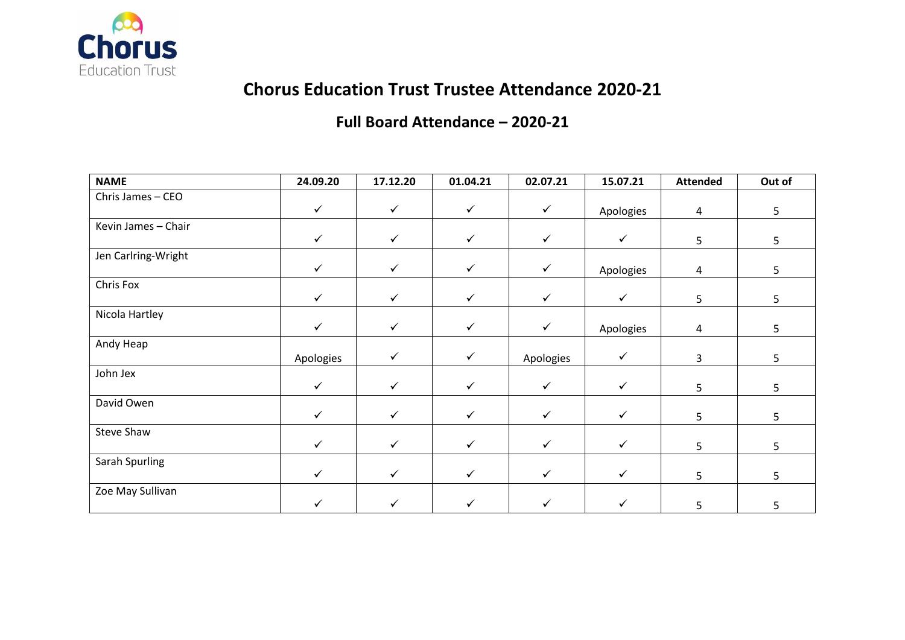

# **Chorus Education Trust Trustee Attendance 2020-21**

#### **Full Board Attendance – 2020-21**

| <b>NAME</b>         | 24.09.20     | 17.12.20     | 01.04.21     | 02.07.21     | 15.07.21     | <b>Attended</b> | Out of         |
|---------------------|--------------|--------------|--------------|--------------|--------------|-----------------|----------------|
| Chris James - CEO   |              |              |              |              |              |                 |                |
|                     | $\checkmark$ | $\checkmark$ | $\checkmark$ | $\checkmark$ | Apologies    | $\overline{4}$  | 5              |
| Kevin James - Chair |              |              |              |              |              |                 |                |
|                     | $\checkmark$ | $\checkmark$ | $\checkmark$ | $\checkmark$ | $\checkmark$ | 5               | 5              |
| Jen Carlring-Wright |              |              |              |              |              |                 |                |
|                     | $\checkmark$ | $\checkmark$ | $\checkmark$ | $\checkmark$ | Apologies    | $\overline{4}$  | 5 <sub>1</sub> |
| Chris Fox           |              |              |              |              |              |                 |                |
|                     | $\checkmark$ | $\checkmark$ | $\checkmark$ | $\checkmark$ | $\checkmark$ | 5               | 5              |
| Nicola Hartley      |              |              |              |              |              |                 |                |
|                     | ✓            | ✓            | ✓            | $\checkmark$ | Apologies    | 4               | 5              |
| Andy Heap           |              |              |              |              |              |                 |                |
|                     | Apologies    | ✓            | $\checkmark$ | Apologies    | $\checkmark$ | 3               | 5              |
| John Jex            |              |              |              |              |              |                 |                |
|                     | $\checkmark$ | ✓            | $\checkmark$ | $\checkmark$ | $\checkmark$ | 5               | 5              |
| David Owen          |              |              |              |              |              |                 |                |
|                     | $\checkmark$ | $\checkmark$ | $\checkmark$ | $\checkmark$ | $\checkmark$ | 5               | 5              |
| Steve Shaw          |              |              |              |              |              |                 |                |
|                     | $\checkmark$ | $\checkmark$ | $\checkmark$ | $\checkmark$ | $\checkmark$ | 5               | 5              |
| Sarah Spurling      |              |              |              |              |              |                 |                |
|                     | $\checkmark$ | $\checkmark$ | $\checkmark$ | $\checkmark$ | $\checkmark$ | 5               | 5              |
| Zoe May Sullivan    |              |              |              |              |              |                 |                |
|                     | ✓            | ✓            | ✓            |              | ✓            | 5               | 5              |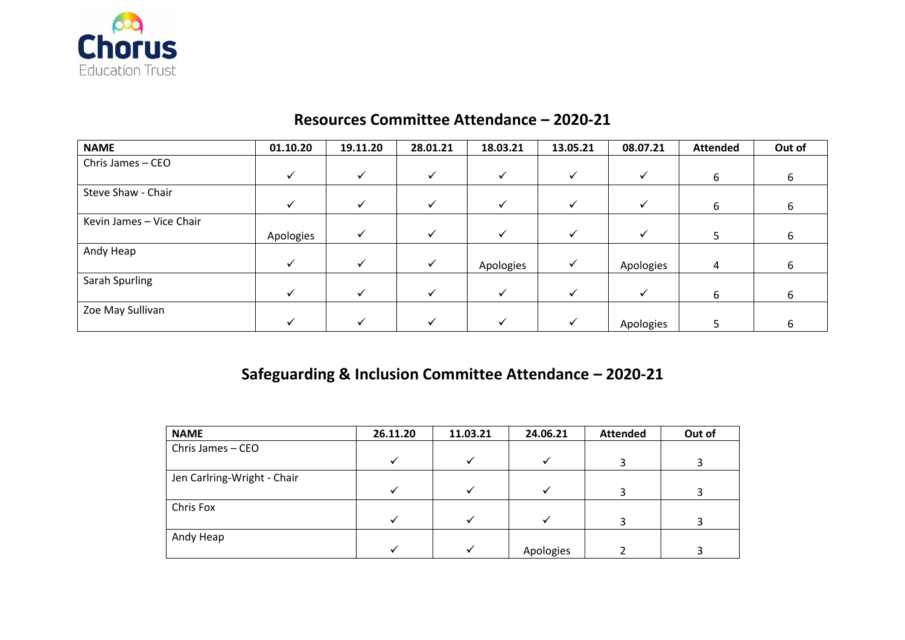

#### **Resources Committee Attendance – 2020-21**

| <b>NAME</b>              | 01.10.20  | 19.11.20 | 28.01.21     | 18.03.21  | 13.05.21 | 08.07.21  | <b>Attended</b> | Out of |
|--------------------------|-----------|----------|--------------|-----------|----------|-----------|-----------------|--------|
| Chris James - CEO        |           |          |              |           |          |           |                 |        |
|                          |           |          |              |           |          |           | 6               | b      |
| Steve Shaw - Chair       |           |          |              |           |          |           |                 |        |
|                          | v         | ✓        | $\checkmark$ | ✔         | v        | ✔         | 6               | 6      |
| Kevin James - Vice Chair |           |          |              |           |          |           |                 |        |
|                          | Apologies |          |              |           |          |           |                 | 6      |
| Andy Heap                |           |          |              |           |          |           |                 |        |
|                          | ✓         | ✓        | ✓            | Apologies | ✓        | Apologies | 4               | b      |
| Sarah Spurling           |           |          |              |           |          |           |                 |        |
|                          |           | ✔        |              | ✓         |          | ✓         | 6               | 6      |
| Zoe May Sullivan         |           |          |              |           |          |           |                 |        |
|                          |           |          |              |           |          | Apologies |                 | n      |

## **Safeguarding & Inclusion Committee Attendance – 2020-21**

| <b>NAME</b>                 | 26.11.20 | 11.03.21 | 24.06.21  | <b>Attended</b> | Out of |
|-----------------------------|----------|----------|-----------|-----------------|--------|
| Chris James - CEO           |          |          |           |                 |        |
|                             |          |          |           |                 |        |
| Jen Carlring-Wright - Chair |          |          |           |                 |        |
|                             |          |          |           |                 |        |
| Chris Fox                   |          |          |           |                 |        |
|                             |          |          |           |                 |        |
| Andy Heap                   |          |          |           |                 |        |
|                             |          |          | Apologies |                 |        |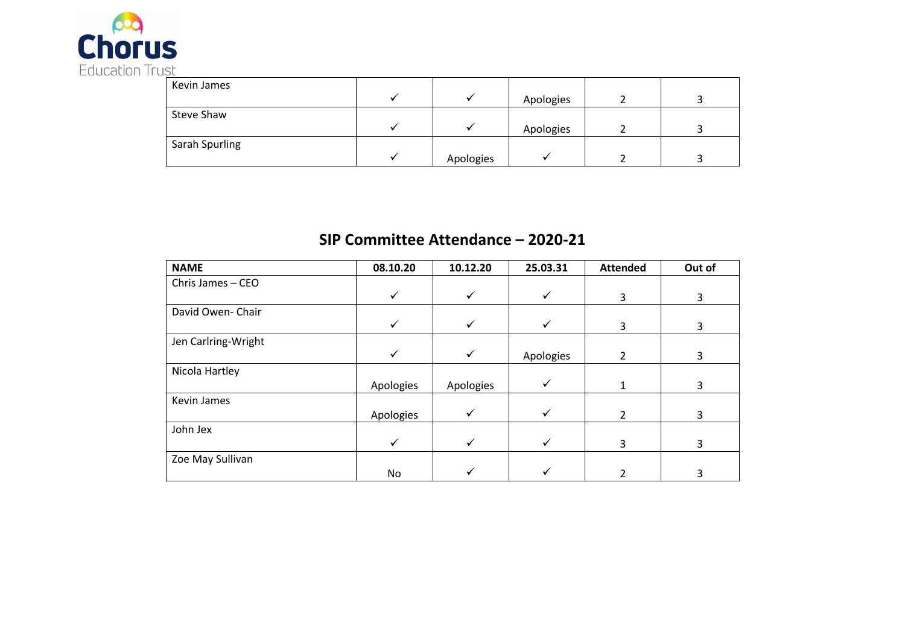

| Kevin James    |           |           |  |
|----------------|-----------|-----------|--|
|                |           | Apologies |  |
| Steve Shaw     |           |           |  |
|                |           | Apologies |  |
| Sarah Spurling |           |           |  |
|                | Apologies |           |  |

### **SIP Committee Attendance – 2020-21**

| <b>NAME</b>         | 08.10.20     | 10.12.20     | 25.03.31     | <b>Attended</b> | Out of |
|---------------------|--------------|--------------|--------------|-----------------|--------|
| Chris James - CEO   |              |              |              |                 |        |
|                     |              |              |              | 3               | 3      |
| David Owen- Chair   |              |              |              |                 |        |
|                     | ✓            |              |              | 3               | 3      |
| Jen Carlring-Wright |              |              |              |                 |        |
|                     | $\checkmark$ | $\checkmark$ | Apologies    | $\mathcal{P}$   | 3      |
| Nicola Hartley      |              |              |              |                 |        |
|                     | Apologies    | Apologies    | $\checkmark$ |                 | 3      |
| Kevin James         |              |              |              |                 |        |
|                     | Apologies    | ✓            | ✓            | C.              | 3      |
| John Jex            |              |              |              |                 |        |
|                     | ✓            |              |              | 3               | 3      |
| Zoe May Sullivan    |              |              |              |                 |        |
|                     | No           |              |              |                 | ੨      |